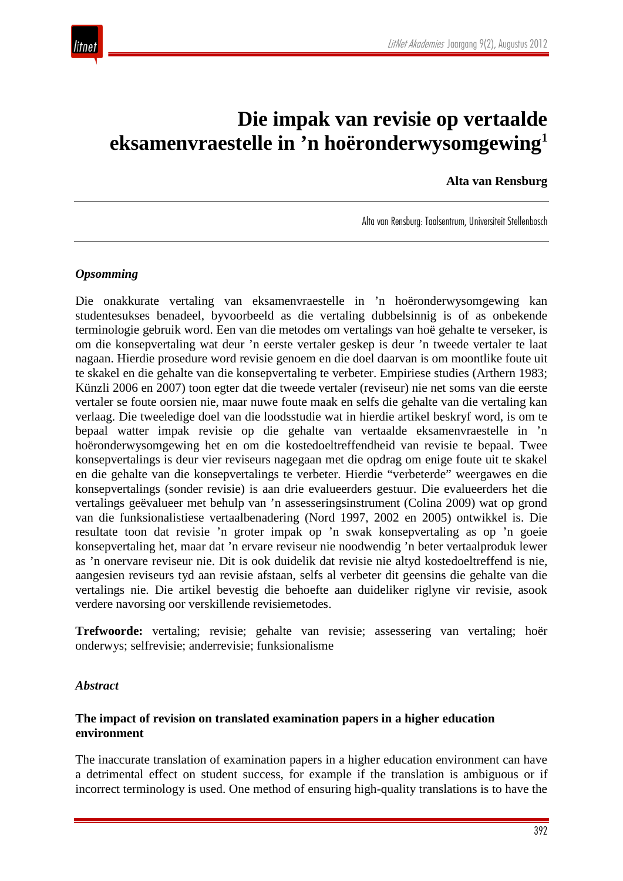

# **Die impak van revisie op vertaalde eksamenvraestelle in 'n hoëronderwysomgewing1**

**Alta van Rensburg**

Alta van Rensburg: Taalsentrum, Universiteit Stellenbosch

### *Opsomming*

Die onakkurate vertaling van eksamenvraestelle in 'n hoëronderwysomgewing kan studentesukses benadeel, byvoorbeeld as die vertaling dubbelsinnig is of as onbekende terminologie gebruik word. Een van die metodes om vertalings van hoë gehalte te verseker, is om die konsepvertaling wat deur 'n eerste vertaler geskep is deur 'n tweede vertaler te laat nagaan. Hierdie prosedure word revisie genoem en die doel daarvan is om moontlike foute uit te skakel en die gehalte van die konsepvertaling te verbeter. Empiriese studies (Arthern 1983; Künzli 2006 en 2007) toon egter dat die tweede vertaler (reviseur) nie net soms van die eerste vertaler se foute oorsien nie, maar nuwe foute maak en selfs die gehalte van die vertaling kan verlaag. Die tweeledige doel van die loodsstudie wat in hierdie artikel beskryf word, is om te bepaal watter impak revisie op die gehalte van vertaalde eksamenvraestelle in 'n hoëronderwysomgewing het en om die kostedoeltreffendheid van revisie te bepaal. Twee konsepvertalings is deur vier reviseurs nagegaan met die opdrag om enige foute uit te skakel en die gehalte van die konsepvertalings te verbeter. Hierdie "verbeterde" weergawes en die konsepvertalings (sonder revisie) is aan drie evalueerders gestuur. Die evalueerders het die vertalings geëvalueer met behulp van 'n assesseringsinstrument (Colina 2009) wat op grond van die funksionalistiese vertaalbenadering (Nord 1997, 2002 en 2005) ontwikkel is. Die resultate toon dat revisie 'n groter impak op 'n swak konsepvertaling as op 'n goeie konsepvertaling het, maar dat 'n ervare reviseur nie noodwendig 'n beter vertaalproduk lewer as 'n onervare reviseur nie. Dit is ook duidelik dat revisie nie altyd kostedoeltreffend is nie, aangesien reviseurs tyd aan revisie afstaan, selfs al verbeter dit geensins die gehalte van die vertalings nie. Die artikel bevestig die behoefte aan duideliker riglyne vir revisie, asook verdere navorsing oor verskillende revisiemetodes.

**Trefwoorde:** vertaling; revisie; gehalte van revisie; assessering van vertaling; hoër onderwys; selfrevisie; anderrevisie; funksionalisme

#### *Abstract*

### **The impact of revision on translated examination papers in a higher education environment**

The inaccurate translation of examination papers in a higher education environment can have a detrimental effect on student success, for example if the translation is ambiguous or if incorrect terminology is used. One method of ensuring high-quality translations is to have the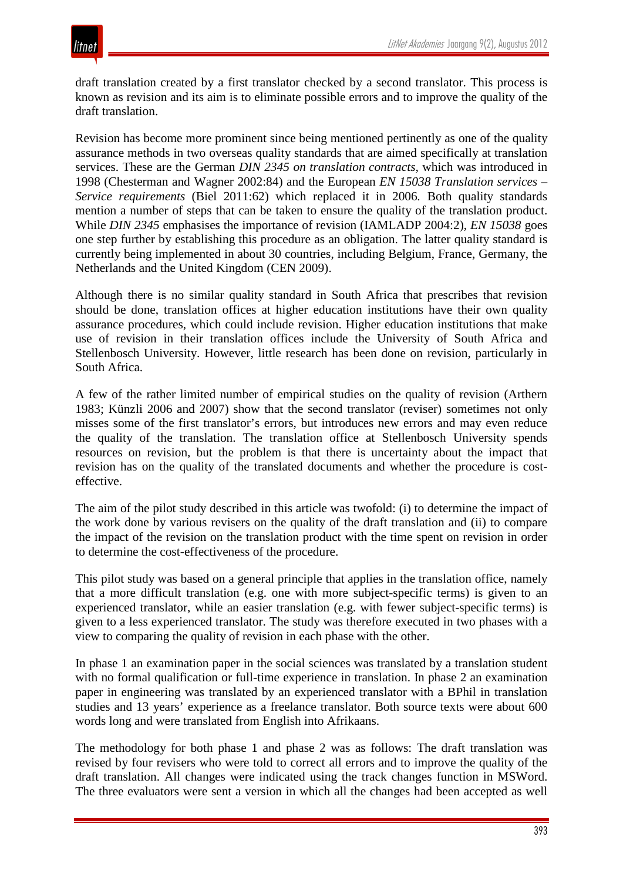draft translation created by a first translator checked by a second translator. This process is known as revision and its aim is to eliminate possible errors and to improve the quality of the draft translation.

Revision has become more prominent since being mentioned pertinently as one of the quality assurance methods in two overseas quality standards that are aimed specifically at translation services. These are the German *DIN 2345 on translation contracts,* which was introduced in 1998 (Chesterman and Wagner 2002:84) and the European *EN 15038 Translation services – Service requirements* (Biel 2011:62) which replaced it in 2006*.* Both quality standards mention a number of steps that can be taken to ensure the quality of the translation product. While *DIN 2345* emphasises the importance of revision (IAMLADP 2004:2), *EN 15038* goes one step further by establishing this procedure as an obligation. The latter quality standard is currently being implemented in about 30 countries, including Belgium, France, Germany, the Netherlands and the United Kingdom (CEN 2009).

Although there is no similar quality standard in South Africa that prescribes that revision should be done, translation offices at higher education institutions have their own quality assurance procedures, which could include revision. Higher education institutions that make use of revision in their translation offices include the University of South Africa and Stellenbosch University. However, little research has been done on revision, particularly in South Africa.

A few of the rather limited number of empirical studies on the quality of revision (Arthern 1983; Künzli 2006 and 2007) show that the second translator (reviser) sometimes not only misses some of the first translator's errors, but introduces new errors and may even reduce the quality of the translation. The translation office at Stellenbosch University spends resources on revision, but the problem is that there is uncertainty about the impact that revision has on the quality of the translated documents and whether the procedure is costeffective.

The aim of the pilot study described in this article was twofold: (i) to determine the impact of the work done by various revisers on the quality of the draft translation and (ii) to compare the impact of the revision on the translation product with the time spent on revision in order to determine the cost-effectiveness of the procedure.

This pilot study was based on a general principle that applies in the translation office, namely that a more difficult translation (e.g. one with more subject-specific terms) is given to an experienced translator, while an easier translation (e.g. with fewer subject-specific terms) is given to a less experienced translator. The study was therefore executed in two phases with a view to comparing the quality of revision in each phase with the other.

In phase 1 an examination paper in the social sciences was translated by a translation student with no formal qualification or full-time experience in translation. In phase 2 an examination paper in engineering was translated by an experienced translator with a BPhil in translation studies and 13 years' experience as a freelance translator. Both source texts were about 600 words long and were translated from English into Afrikaans.

The methodology for both phase 1 and phase 2 was as follows: The draft translation was revised by four revisers who were told to correct all errors and to improve the quality of the draft translation. All changes were indicated using the track changes function in MSWord. The three evaluators were sent a version in which all the changes had been accepted as well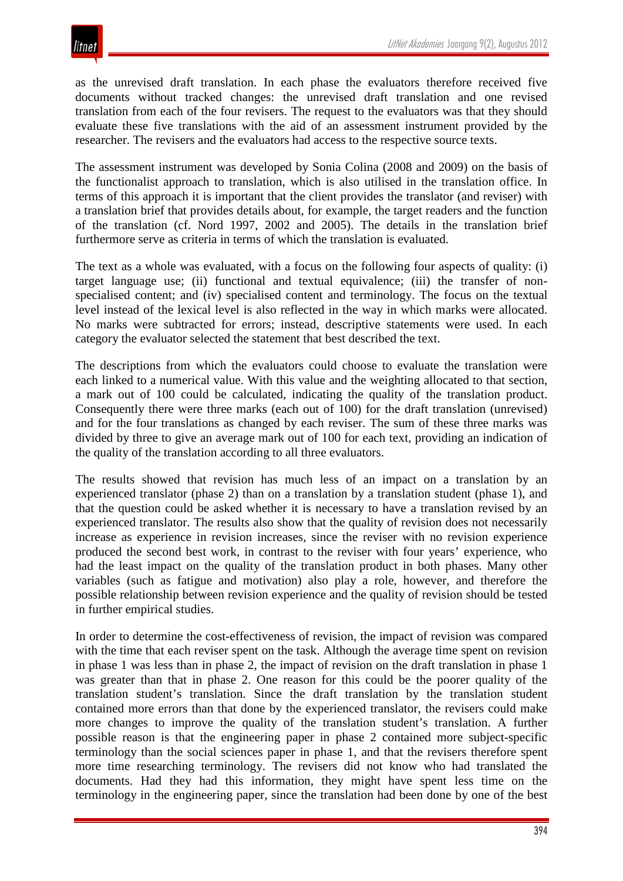as the unrevised draft translation. In each phase the evaluators therefore received five documents without tracked changes: the unrevised draft translation and one revised translation from each of the four revisers. The request to the evaluators was that they should evaluate these five translations with the aid of an assessment instrument provided by the researcher. The revisers and the evaluators had access to the respective source texts.

The assessment instrument was developed by Sonia Colina (2008 and 2009) on the basis of the functionalist approach to translation, which is also utilised in the translation office. In terms of this approach it is important that the client provides the translator (and reviser) with a translation brief that provides details about, for example, the target readers and the function of the translation (cf. Nord 1997, 2002 and 2005). The details in the translation brief furthermore serve as criteria in terms of which the translation is evaluated.

The text as a whole was evaluated, with a focus on the following four aspects of quality: (i) target language use; (ii) functional and textual equivalence; (iii) the transfer of nonspecialised content; and (iv) specialised content and terminology. The focus on the textual level instead of the lexical level is also reflected in the way in which marks were allocated. No marks were subtracted for errors; instead, descriptive statements were used. In each category the evaluator selected the statement that best described the text.

The descriptions from which the evaluators could choose to evaluate the translation were each linked to a numerical value. With this value and the weighting allocated to that section, a mark out of 100 could be calculated, indicating the quality of the translation product. Consequently there were three marks (each out of 100) for the draft translation (unrevised) and for the four translations as changed by each reviser. The sum of these three marks was divided by three to give an average mark out of 100 for each text, providing an indication of the quality of the translation according to all three evaluators.

The results showed that revision has much less of an impact on a translation by an experienced translator (phase 2) than on a translation by a translation student (phase 1), and that the question could be asked whether it is necessary to have a translation revised by an experienced translator. The results also show that the quality of revision does not necessarily increase as experience in revision increases, since the reviser with no revision experience produced the second best work, in contrast to the reviser with four years' experience, who had the least impact on the quality of the translation product in both phases. Many other variables (such as fatigue and motivation) also play a role, however, and therefore the possible relationship between revision experience and the quality of revision should be tested in further empirical studies.

In order to determine the cost-effectiveness of revision, the impact of revision was compared with the time that each reviser spent on the task. Although the average time spent on revision in phase 1 was less than in phase 2, the impact of revision on the draft translation in phase 1 was greater than that in phase 2. One reason for this could be the poorer quality of the translation student's translation. Since the draft translation by the translation student contained more errors than that done by the experienced translator, the revisers could make more changes to improve the quality of the translation student's translation. A further possible reason is that the engineering paper in phase 2 contained more subject-specific terminology than the social sciences paper in phase 1, and that the revisers therefore spent more time researching terminology. The revisers did not know who had translated the documents. Had they had this information, they might have spent less time on the terminology in the engineering paper, since the translation had been done by one of the best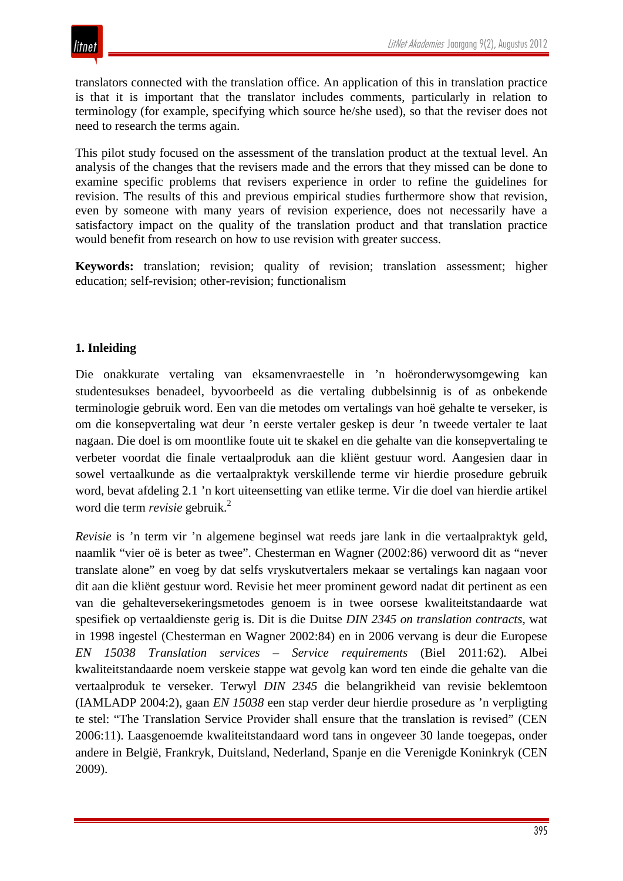translators connected with the translation office. An application of this in translation practice is that it is important that the translator includes comments, particularly in relation to terminology (for example, specifying which source he/she used), so that the reviser does not need to research the terms again.

This pilot study focused on the assessment of the translation product at the textual level. An analysis of the changes that the revisers made and the errors that they missed can be done to examine specific problems that revisers experience in order to refine the guidelines for revision. The results of this and previous empirical studies furthermore show that revision, even by someone with many years of revision experience, does not necessarily have a satisfactory impact on the quality of the translation product and that translation practice would benefit from research on how to use revision with greater success.

**Keywords:** translation; revision; quality of revision; translation assessment; higher education; self-revision; other-revision; functionalism

### **1. Inleiding**

Die onakkurate vertaling van eksamenvraestelle in 'n hoëronderwysomgewing kan studentesukses benadeel, byvoorbeeld as die vertaling dubbelsinnig is of as onbekende terminologie gebruik word. Een van die metodes om vertalings van hoë gehalte te verseker, is om die konsepvertaling wat deur 'n eerste vertaler geskep is deur 'n tweede vertaler te laat nagaan. Die doel is om moontlike foute uit te skakel en die gehalte van die konsepvertaling te verbeter voordat die finale vertaalproduk aan die kliënt gestuur word. Aangesien daar in sowel vertaalkunde as die vertaalpraktyk verskillende terme vir hierdie prosedure gebruik word, bevat afdeling 2.1 'n kort uiteensetting van etlike terme. Vir die doel van hierdie artikel word die term *revisie* gebruik.<sup>2</sup>

*Revisie* is 'n term vir 'n algemene beginsel wat reeds jare lank in die vertaalpraktyk geld, naamlik "vier oë is beter as twee". Chesterman en Wagner (2002:86) verwoord dit as "never translate alone" en voeg by dat selfs vryskutvertalers mekaar se vertalings kan nagaan voor dit aan die kliënt gestuur word. Revisie het meer prominent geword nadat dit pertinent as een van die gehalteversekeringsmetodes genoem is in twee oorsese kwaliteitstandaarde wat spesifiek op vertaaldienste gerig is. Dit is die Duitse *DIN 2345 on translation contracts,* wat in 1998 ingestel (Chesterman en Wagner 2002:84) en in 2006 vervang is deur die Europese *EN 15038 Translation services – Service requirements* (Biel 2011:62)*.* Albei kwaliteitstandaarde noem verskeie stappe wat gevolg kan word ten einde die gehalte van die vertaalproduk te verseker. Terwyl *DIN 2345* die belangrikheid van revisie beklemtoon (IAMLADP 2004:2), gaan *EN 15038* een stap verder deur hierdie prosedure as 'n verpligting te stel: "The Translation Service Provider shall ensure that the translation is revised" (CEN 2006:11). Laasgenoemde kwaliteitstandaard word tans in ongeveer 30 lande toegepas, onder andere in België, Frankryk, Duitsland, Nederland, Spanje en die Verenigde Koninkryk (CEN 2009).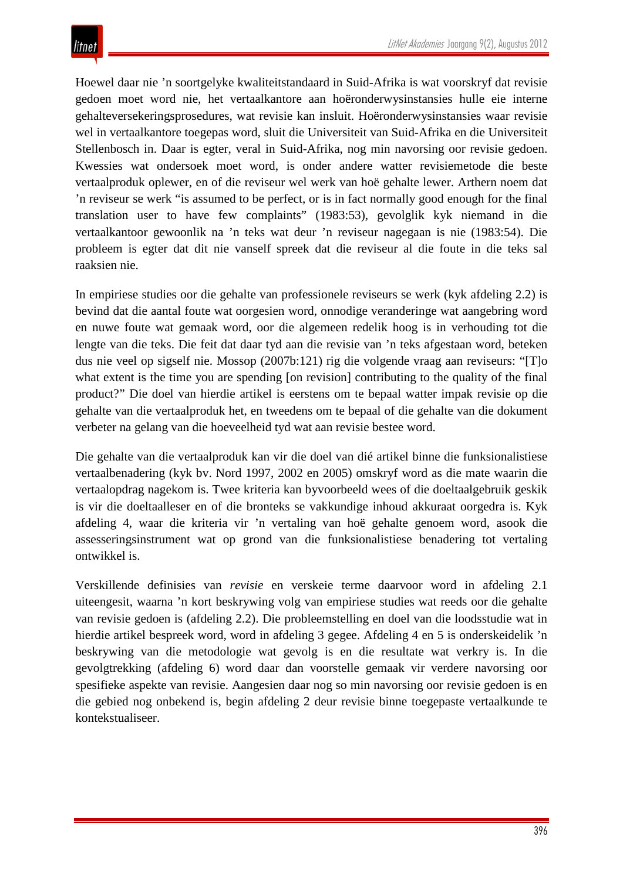Hoewel daar nie 'n soortgelyke kwaliteitstandaard in Suid-Afrika is wat voorskryf dat revisie gedoen moet word nie, het vertaalkantore aan hoëronderwysinstansies hulle eie interne gehalteversekeringsprosedures, wat revisie kan insluit. Hoëronderwysinstansies waar revisie wel in vertaalkantore toegepas word, sluit die Universiteit van Suid-Afrika en die Universiteit Stellenbosch in. Daar is egter, veral in Suid-Afrika, nog min navorsing oor revisie gedoen. Kwessies wat ondersoek moet word, is onder andere watter revisiemetode die beste vertaalproduk oplewer, en of die reviseur wel werk van hoë gehalte lewer. Arthern noem dat 'n reviseur se werk "is assumed to be perfect, or is in fact normally good enough for the final translation user to have few complaints" (1983:53), gevolglik kyk niemand in die vertaalkantoor gewoonlik na 'n teks wat deur 'n reviseur nagegaan is nie (1983:54). Die probleem is egter dat dit nie vanself spreek dat die reviseur al die foute in die teks sal raaksien nie.

In empiriese studies oor die gehalte van professionele reviseurs se werk (kyk afdeling 2.2) is bevind dat die aantal foute wat oorgesien word, onnodige veranderinge wat aangebring word en nuwe foute wat gemaak word, oor die algemeen redelik hoog is in verhouding tot die lengte van die teks. Die feit dat daar tyd aan die revisie van 'n teks afgestaan word, beteken dus nie veel op sigself nie. Mossop (2007b:121) rig die volgende vraag aan reviseurs: "[T]o what extent is the time you are spending [on revision] contributing to the quality of the final product?" Die doel van hierdie artikel is eerstens om te bepaal watter impak revisie op die gehalte van die vertaalproduk het, en tweedens om te bepaal of die gehalte van die dokument verbeter na gelang van die hoeveelheid tyd wat aan revisie bestee word.

Die gehalte van die vertaalproduk kan vir die doel van dié artikel binne die funksionalistiese vertaalbenadering (kyk bv. Nord 1997, 2002 en 2005) omskryf word as die mate waarin die vertaalopdrag nagekom is. Twee kriteria kan byvoorbeeld wees of die doeltaalgebruik geskik is vir die doeltaalleser en of die bronteks se vakkundige inhoud akkuraat oorgedra is. Kyk afdeling 4, waar die kriteria vir 'n vertaling van hoë gehalte genoem word, asook die assesseringsinstrument wat op grond van die funksionalistiese benadering tot vertaling ontwikkel is.

Verskillende definisies van *revisie* en verskeie terme daarvoor word in afdeling 2.1 uiteengesit, waarna 'n kort beskrywing volg van empiriese studies wat reeds oor die gehalte van revisie gedoen is (afdeling 2.2). Die probleemstelling en doel van die loodsstudie wat in hierdie artikel bespreek word, word in afdeling 3 gegee. Afdeling 4 en 5 is onderskeidelik 'n beskrywing van die metodologie wat gevolg is en die resultate wat verkry is. In die gevolgtrekking (afdeling 6) word daar dan voorstelle gemaak vir verdere navorsing oor spesifieke aspekte van revisie. Aangesien daar nog so min navorsing oor revisie gedoen is en die gebied nog onbekend is, begin afdeling 2 deur revisie binne toegepaste vertaalkunde te kontekstualiseer.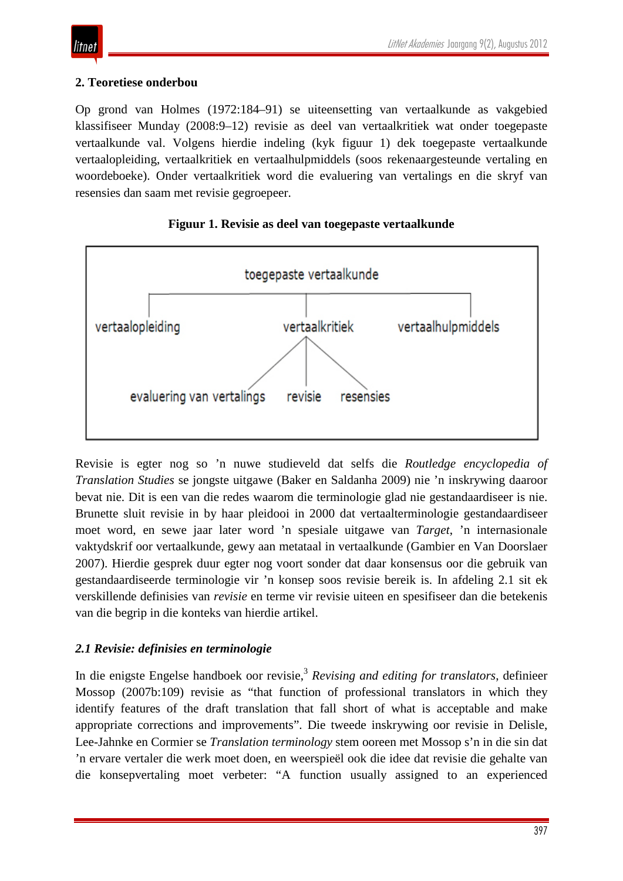## itnet

## **2. Teoretiese onderbou**

Op grond van Holmes (1972:184–91) se uiteensetting van vertaalkunde as vakgebied klassifiseer Munday (2008:9–12) revisie as deel van vertaalkritiek wat onder toegepaste vertaalkunde val. Volgens hierdie indeling (kyk figuur 1) dek toegepaste vertaalkunde vertaalopleiding, vertaalkritiek en vertaalhulpmiddels (soos rekenaargesteunde vertaling en woordeboeke). Onder vertaalkritiek word die evaluering van vertalings en die skryf van resensies dan saam met revisie gegroepeer.



## **Figuur 1. Revisie as deel van toegepaste vertaalkunde**

Revisie is egter nog so 'n nuwe studieveld dat selfs die *Routledge encyclopedia of Translation Studies* se jongste uitgawe (Baker en Saldanha 2009) nie 'n inskrywing daaroor bevat nie. Dit is een van die redes waarom die terminologie glad nie gestandaardiseer is nie. Brunette sluit revisie in by haar pleidooi in 2000 dat vertaalterminologie gestandaardiseer moet word, en sewe jaar later word 'n spesiale uitgawe van *Target*, 'n internasionale vaktydskrif oor vertaalkunde, gewy aan metataal in vertaalkunde (Gambier en Van Doorslaer 2007). Hierdie gesprek duur egter nog voort sonder dat daar konsensus oor die gebruik van gestandaardiseerde terminologie vir 'n konsep soos revisie bereik is. In afdeling 2.1 sit ek verskillende definisies van *revisie* en terme vir revisie uiteen en spesifiseer dan die betekenis van die begrip in die konteks van hierdie artikel.

## *2.1 Revisie: definisies en terminologie*

In die enigste Engelse handboek oor revisie,<sup>3</sup> Revising and editing for translators, definieer Mossop (2007b:109) revisie as "that function of professional translators in which they identify features of the draft translation that fall short of what is acceptable and make appropriate corrections and improvements". Die tweede inskrywing oor revisie in Delisle, Lee-Jahnke en Cormier se *Translation terminology* stem ooreen met Mossop s'n in die sin dat 'n ervare vertaler die werk moet doen, en weerspieël ook die idee dat revisie die gehalte van die konsepvertaling moet verbeter: "A function usually assigned to an experienced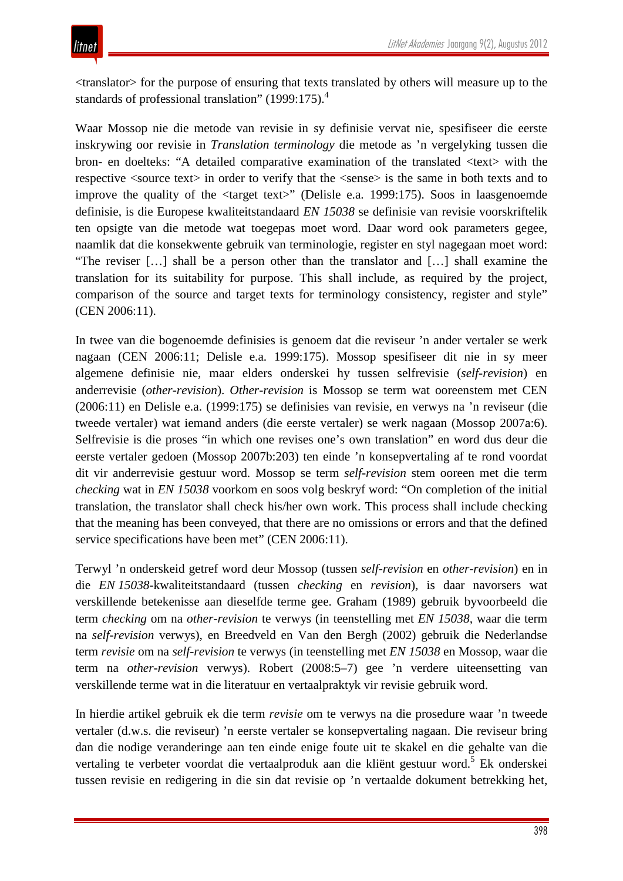<translator> for the purpose of ensuring that texts translated by others will measure up to the standards of professional translation" (1999:175).<sup>4</sup>

Waar Mossop nie die metode van revisie in sy definisie vervat nie, spesifiseer die eerste inskrywing oor revisie in *Translation terminology* die metode as 'n vergelyking tussen die bron- en doelteks: "A detailed comparative examination of the translated <text> with the respective <source text> in order to verify that the <sense> is the same in both texts and to improve the quality of the <target text>" (Delisle e.a. 1999:175). Soos in laasgenoemde definisie, is die Europese kwaliteitstandaard *EN 15038* se definisie van revisie voorskriftelik ten opsigte van die metode wat toegepas moet word. Daar word ook parameters gegee, naamlik dat die konsekwente gebruik van terminologie, register en styl nagegaan moet word: "The reviser […] shall be a person other than the translator and […] shall examine the translation for its suitability for purpose. This shall include, as required by the project, comparison of the source and target texts for terminology consistency, register and style" (CEN 2006:11).

In twee van die bogenoemde definisies is genoem dat die reviseur 'n ander vertaler se werk nagaan (CEN 2006:11; Delisle e.a. 1999:175). Mossop spesifiseer dit nie in sy meer algemene definisie nie, maar elders onderskei hy tussen selfrevisie (*self-revision*) en anderrevisie (*other-revision*). *Other-revision* is Mossop se term wat ooreenstem met CEN (2006:11) en Delisle e.a. (1999:175) se definisies van revisie, en verwys na 'n reviseur (die tweede vertaler) wat iemand anders (die eerste vertaler) se werk nagaan (Mossop 2007a:6). Selfrevisie is die proses "in which one revises one's own translation" en word dus deur die eerste vertaler gedoen (Mossop 2007b:203) ten einde 'n konsepvertaling af te rond voordat dit vir anderrevisie gestuur word. Mossop se term *self-revision* stem ooreen met die term *checking* wat in *EN 15038* voorkom en soos volg beskryf word: "On completion of the initial translation, the translator shall check his/her own work. This process shall include checking that the meaning has been conveyed, that there are no omissions or errors and that the defined service specifications have been met" (CEN 2006:11).

Terwyl 'n onderskeid getref word deur Mossop (tussen *self-revision* en *other-revision*) en in die *EN 15038*-kwaliteitstandaard (tussen *checking* en *revision*), is daar navorsers wat verskillende betekenisse aan dieselfde terme gee. Graham (1989) gebruik byvoorbeeld die term *checking* om na *other-revision* te verwys (in teenstelling met *EN 15038,* waar die term na *self-revision* verwys), en Breedveld en Van den Bergh (2002) gebruik die Nederlandse term *revisie* om na *self-revision* te verwys (in teenstelling met *EN 15038* en Mossop, waar die term na *other-revision* verwys). Robert (2008:5–7) gee 'n verdere uiteensetting van verskillende terme wat in die literatuur en vertaalpraktyk vir revisie gebruik word.

In hierdie artikel gebruik ek die term *revisie* om te verwys na die prosedure waar 'n tweede vertaler (d.w.s. die reviseur) 'n eerste vertaler se konsepvertaling nagaan. Die reviseur bring dan die nodige veranderinge aan ten einde enige foute uit te skakel en die gehalte van die vertaling te verbeter voordat die vertaalproduk aan die kliënt gestuur word.<sup>5</sup> Ek onderskei tussen revisie en redigering in die sin dat revisie op 'n vertaalde dokument betrekking het,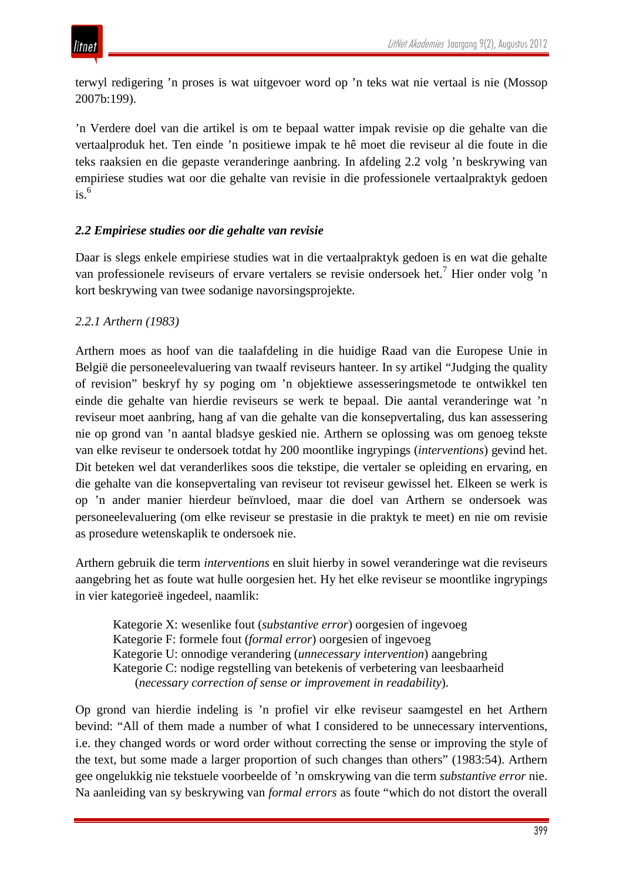terwyl redigering 'n proses is wat uitgevoer word op 'n teks wat nie vertaal is nie (Mossop 2007b:199).

'n Verdere doel van die artikel is om te bepaal watter impak revisie op die gehalte van die vertaalproduk het. Ten einde 'n positiewe impak te hê moet die reviseur al die foute in die teks raaksien en die gepaste veranderinge aanbring. In afdeling 2.2 volg 'n beskrywing van empiriese studies wat oor die gehalte van revisie in die professionele vertaalpraktyk gedoen  $is.<sup>6</sup>$ 

## *2.2 Empiriese studies oor die gehalte van revisie*

Daar is slegs enkele empiriese studies wat in die vertaalpraktyk gedoen is en wat die gehalte van professionele reviseurs of ervare vertalers se revisie ondersoek het.<sup>7</sup> Hier onder volg 'n kort beskrywing van twee sodanige navorsingsprojekte.

## *2.2.1 Arthern (1983)*

Arthern moes as hoof van die taalafdeling in die huidige Raad van die Europese Unie in België die personeelevaluering van twaalf reviseurs hanteer. In sy artikel "Judging the quality of revision" beskryf hy sy poging om 'n objektiewe assesseringsmetode te ontwikkel ten einde die gehalte van hierdie reviseurs se werk te bepaal. Die aantal veranderinge wat 'n reviseur moet aanbring, hang af van die gehalte van die konsepvertaling, dus kan assessering nie op grond van 'n aantal bladsye geskied nie. Arthern se oplossing was om genoeg tekste van elke reviseur te ondersoek totdat hy 200 moontlike ingrypings (*interventions*) gevind het. Dit beteken wel dat veranderlikes soos die tekstipe, die vertaler se opleiding en ervaring, en die gehalte van die konsepvertaling van reviseur tot reviseur gewissel het. Elkeen se werk is op 'n ander manier hierdeur beïnvloed, maar die doel van Arthern se ondersoek was personeelevaluering (om elke reviseur se prestasie in die praktyk te meet) en nie om revisie as prosedure wetenskaplik te ondersoek nie.

Arthern gebruik die term *interventions* en sluit hierby in sowel veranderinge wat die reviseurs aangebring het as foute wat hulle oorgesien het. Hy het elke reviseur se moontlike ingrypings in vier kategorieë ingedeel, naamlik:

Kategorie X: wesenlike fout (*substantive error*) oorgesien of ingevoeg Kategorie F: formele fout (*formal error*) oorgesien of ingevoeg Kategorie U: onnodige verandering (*unnecessary intervention*) aangebring Kategorie C: nodige regstelling van betekenis of verbetering van leesbaarheid (*necessary correction of sense or improvement in readability*).

Op grond van hierdie indeling is 'n profiel vir elke reviseur saamgestel en het Arthern bevind: "All of them made a number of what I considered to be unnecessary interventions, i.e. they changed words or word order without correcting the sense or improving the style of the text, but some made a larger proportion of such changes than others" (1983:54). Arthern gee ongelukkig nie tekstuele voorbeelde of 'n omskrywing van die term *substantive error* nie. Na aanleiding van sy beskrywing van *formal errors* as foute "which do not distort the overall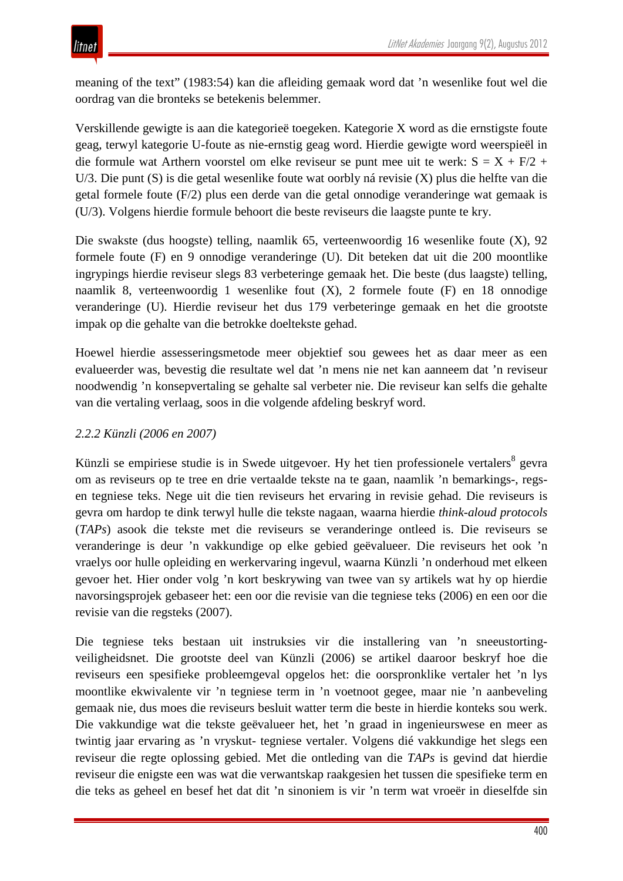meaning of the text" (1983:54) kan die afleiding gemaak word dat 'n wesenlike fout wel die oordrag van die bronteks se betekenis belemmer.

Verskillende gewigte is aan die kategorieë toegeken. Kategorie X word as die ernstigste foute geag, terwyl kategorie U-foute as nie-ernstig geag word. Hierdie gewigte word weerspieël in die formule wat Arthern voorstel om elke reviseur se punt mee uit te werk:  $S = X + F/2 + F$ U/3. Die punt (S) is die getal wesenlike foute wat oorbly ná revisie (X) plus die helfte van die getal formele foute (F/2) plus een derde van die getal onnodige veranderinge wat gemaak is (U/3). Volgens hierdie formule behoort die beste reviseurs die laagste punte te kry.

Die swakste (dus hoogste) telling, naamlik 65, verteenwoordig 16 wesenlike foute (X), 92 formele foute (F) en 9 onnodige veranderinge (U). Dit beteken dat uit die 200 moontlike ingrypings hierdie reviseur slegs 83 verbeteringe gemaak het. Die beste (dus laagste) telling, naamlik 8, verteenwoordig 1 wesenlike fout (X), 2 formele foute (F) en 18 onnodige veranderinge (U). Hierdie reviseur het dus 179 verbeteringe gemaak en het die grootste impak op die gehalte van die betrokke doeltekste gehad.

Hoewel hierdie assesseringsmetode meer objektief sou gewees het as daar meer as een evalueerder was, bevestig die resultate wel dat 'n mens nie net kan aanneem dat 'n reviseur noodwendig 'n konsepvertaling se gehalte sal verbeter nie. Die reviseur kan selfs die gehalte van die vertaling verlaag, soos in die volgende afdeling beskryf word.

## *2.2.2 Künzli (2006 en 2007)*

Künzli se empiriese studie is in Swede uitgevoer. Hy het tien professionele vertalers<sup>8</sup> gevra om as reviseurs op te tree en drie vertaalde tekste na te gaan, naamlik 'n bemarkings-, regsen tegniese teks. Nege uit die tien reviseurs het ervaring in revisie gehad. Die reviseurs is gevra om hardop te dink terwyl hulle die tekste nagaan, waarna hierdie *think-aloud protocols* (*TAPs*) asook die tekste met die reviseurs se veranderinge ontleed is. Die reviseurs se veranderinge is deur 'n vakkundige op elke gebied geëvalueer. Die reviseurs het ook 'n vraelys oor hulle opleiding en werkervaring ingevul, waarna Künzli 'n onderhoud met elkeen gevoer het. Hier onder volg 'n kort beskrywing van twee van sy artikels wat hy op hierdie navorsingsprojek gebaseer het: een oor die revisie van die tegniese teks (2006) en een oor die revisie van die regsteks (2007).

Die tegniese teks bestaan uit instruksies vir die installering van 'n sneeustortingveiligheidsnet. Die grootste deel van Künzli (2006) se artikel daaroor beskryf hoe die reviseurs een spesifieke probleemgeval opgelos het: die oorspronklike vertaler het 'n lys moontlike ekwivalente vir 'n tegniese term in 'n voetnoot gegee, maar nie 'n aanbeveling gemaak nie, dus moes die reviseurs besluit watter term die beste in hierdie konteks sou werk. Die vakkundige wat die tekste geëvalueer het, het 'n graad in ingenieurswese en meer as twintig jaar ervaring as 'n vryskut- tegniese vertaler. Volgens dié vakkundige het slegs een reviseur die regte oplossing gebied. Met die ontleding van die *TAPs* is gevind dat hierdie reviseur die enigste een was wat die verwantskap raakgesien het tussen die spesifieke term en die teks as geheel en besef het dat dit 'n sinoniem is vir 'n term wat vroeër in dieselfde sin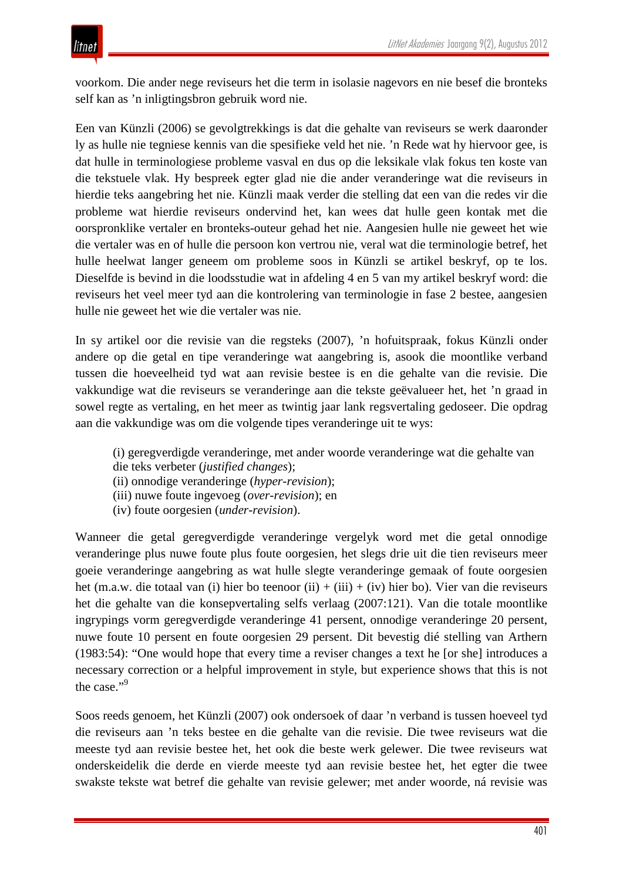voorkom. Die ander nege reviseurs het die term in isolasie nagevors en nie besef die bronteks self kan as 'n inligtingsbron gebruik word nie.

Een van Künzli (2006) se gevolgtrekkings is dat die gehalte van reviseurs se werk daaronder ly as hulle nie tegniese kennis van die spesifieke veld het nie. 'n Rede wat hy hiervoor gee, is dat hulle in terminologiese probleme vasval en dus op die leksikale vlak fokus ten koste van die tekstuele vlak. Hy bespreek egter glad nie die ander veranderinge wat die reviseurs in hierdie teks aangebring het nie. Künzli maak verder die stelling dat een van die redes vir die probleme wat hierdie reviseurs ondervind het, kan wees dat hulle geen kontak met die oorspronklike vertaler en bronteks-outeur gehad het nie. Aangesien hulle nie geweet het wie die vertaler was en of hulle die persoon kon vertrou nie, veral wat die terminologie betref, het hulle heelwat langer geneem om probleme soos in Künzli se artikel beskryf, op te los. Dieselfde is bevind in die loodsstudie wat in afdeling 4 en 5 van my artikel beskryf word: die reviseurs het veel meer tyd aan die kontrolering van terminologie in fase 2 bestee, aangesien hulle nie geweet het wie die vertaler was nie.

In sy artikel oor die revisie van die regsteks (2007), 'n hofuitspraak, fokus Künzli onder andere op die getal en tipe veranderinge wat aangebring is, asook die moontlike verband tussen die hoeveelheid tyd wat aan revisie bestee is en die gehalte van die revisie. Die vakkundige wat die reviseurs se veranderinge aan die tekste geëvalueer het, het 'n graad in sowel regte as vertaling, en het meer as twintig jaar lank regsvertaling gedoseer. Die opdrag aan die vakkundige was om die volgende tipes veranderinge uit te wys:

- (i) geregverdigde veranderinge, met ander woorde veranderinge wat die gehalte van die teks verbeter (*justified changes*);
- (ii) onnodige veranderinge (*hyper-revision*);
- (iii) nuwe foute ingevoeg (*over-revision*); en
- (iv) foute oorgesien (*under-revision*).

Wanneer die getal geregverdigde veranderinge vergelyk word met die getal onnodige veranderinge plus nuwe foute plus foute oorgesien, het slegs drie uit die tien reviseurs meer goeie veranderinge aangebring as wat hulle slegte veranderinge gemaak of foute oorgesien het (m.a.w. die totaal van (i) hier bo teenoor (ii) + (iii) + (iv) hier bo). Vier van die reviseurs het die gehalte van die konsepvertaling selfs verlaag (2007:121). Van die totale moontlike ingrypings vorm geregverdigde veranderinge 41 persent, onnodige veranderinge 20 persent, nuwe foute 10 persent en foute oorgesien 29 persent. Dit bevestig dié stelling van Arthern (1983:54): "One would hope that every time a reviser changes a text he [or she] introduces a necessary correction or a helpful improvement in style, but experience shows that this is not the case."<sup>9</sup>

Soos reeds genoem, het Künzli (2007) ook ondersoek of daar 'n verband is tussen hoeveel tyd die reviseurs aan 'n teks bestee en die gehalte van die revisie. Die twee reviseurs wat die meeste tyd aan revisie bestee het, het ook die beste werk gelewer. Die twee reviseurs wat onderskeidelik die derde en vierde meeste tyd aan revisie bestee het, het egter die twee swakste tekste wat betref die gehalte van revisie gelewer; met ander woorde, ná revisie was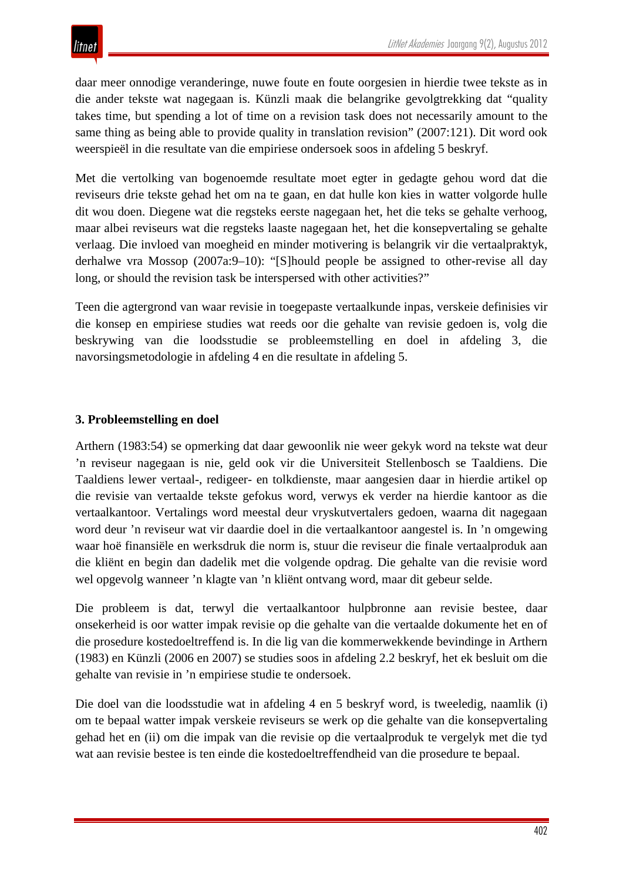daar meer onnodige veranderinge, nuwe foute en foute oorgesien in hierdie twee tekste as in die ander tekste wat nagegaan is. Künzli maak die belangrike gevolgtrekking dat "quality takes time, but spending a lot of time on a revision task does not necessarily amount to the same thing as being able to provide quality in translation revision" (2007:121). Dit word ook weerspieël in die resultate van die empiriese ondersoek soos in afdeling 5 beskryf.

Met die vertolking van bogenoemde resultate moet egter in gedagte gehou word dat die reviseurs drie tekste gehad het om na te gaan, en dat hulle kon kies in watter volgorde hulle dit wou doen. Diegene wat die regsteks eerste nagegaan het, het die teks se gehalte verhoog, maar albei reviseurs wat die regsteks laaste nagegaan het, het die konsepvertaling se gehalte verlaag. Die invloed van moegheid en minder motivering is belangrik vir die vertaalpraktyk, derhalwe vra Mossop (2007a:9–10): "[S]hould people be assigned to other-revise all day long, or should the revision task be interspersed with other activities?"

Teen die agtergrond van waar revisie in toegepaste vertaalkunde inpas, verskeie definisies vir die konsep en empiriese studies wat reeds oor die gehalte van revisie gedoen is, volg die beskrywing van die loodsstudie se probleemstelling en doel in afdeling 3, die navorsingsmetodologie in afdeling 4 en die resultate in afdeling 5.

#### **3. Probleemstelling en doel**

Arthern (1983:54) se opmerking dat daar gewoonlik nie weer gekyk word na tekste wat deur 'n reviseur nagegaan is nie, geld ook vir die Universiteit Stellenbosch se Taaldiens. Die Taaldiens lewer vertaal-, redigeer- en tolkdienste, maar aangesien daar in hierdie artikel op die revisie van vertaalde tekste gefokus word, verwys ek verder na hierdie kantoor as die vertaalkantoor. Vertalings word meestal deur vryskutvertalers gedoen, waarna dit nagegaan word deur 'n reviseur wat vir daardie doel in die vertaalkantoor aangestel is. In 'n omgewing waar hoë finansiële en werksdruk die norm is, stuur die reviseur die finale vertaalproduk aan die kliënt en begin dan dadelik met die volgende opdrag. Die gehalte van die revisie word wel opgevolg wanneer 'n klagte van 'n kliënt ontvang word, maar dit gebeur selde.

Die probleem is dat, terwyl die vertaalkantoor hulpbronne aan revisie bestee, daar onsekerheid is oor watter impak revisie op die gehalte van die vertaalde dokumente het en of die prosedure kostedoeltreffend is. In die lig van die kommerwekkende bevindinge in Arthern (1983) en Künzli (2006 en 2007) se studies soos in afdeling 2.2 beskryf, het ek besluit om die gehalte van revisie in 'n empiriese studie te ondersoek.

Die doel van die loodsstudie wat in afdeling 4 en 5 beskryf word, is tweeledig, naamlik (i) om te bepaal watter impak verskeie reviseurs se werk op die gehalte van die konsepvertaling gehad het en (ii) om die impak van die revisie op die vertaalproduk te vergelyk met die tyd wat aan revisie bestee is ten einde die kostedoeltreffendheid van die prosedure te bepaal.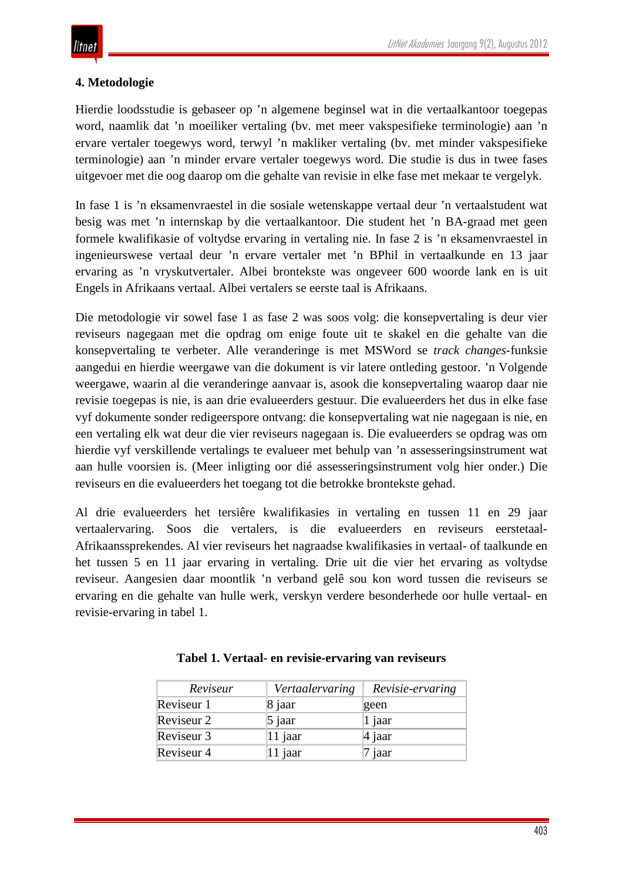### **4. Metodologie**

Hierdie loodsstudie is gebaseer op 'n algemene beginsel wat in die vertaalkantoor toegepas word, naamlik dat 'n moeiliker vertaling (bv. met meer vakspesifieke terminologie) aan 'n ervare vertaler toegewys word, terwyl 'n makliker vertaling (bv. met minder vakspesifieke terminologie) aan 'n minder ervare vertaler toegewys word. Die studie is dus in twee fases uitgevoer met die oog daarop om die gehalte van revisie in elke fase met mekaar te vergelyk.

In fase 1 is 'n eksamenvraestel in die sosiale wetenskappe vertaal deur 'n vertaalstudent wat besig was met 'n internskap by die vertaalkantoor. Die student het 'n BA-graad met geen formele kwalifikasie of voltydse ervaring in vertaling nie. In fase 2 is 'n eksamenvraestel in ingenieurswese vertaal deur 'n ervare vertaler met 'n BPhil in vertaalkunde en 13 jaar ervaring as 'n vryskutvertaler. Albei brontekste was ongeveer 600 woorde lank en is uit Engels in Afrikaans vertaal. Albei vertalers se eerste taal is Afrikaans.

Die metodologie vir sowel fase 1 as fase 2 was soos volg: die konsepvertaling is deur vier reviseurs nagegaan met die opdrag om enige foute uit te skakel en die gehalte van die konsepvertaling te verbeter. Alle veranderinge is met MSWord se *track changes*-funksie aangedui en hierdie weergawe van die dokument is vir latere ontleding gestoor. 'n Volgende weergawe, waarin al die veranderinge aanvaar is, asook die konsepvertaling waarop daar nie revisie toegepas is nie, is aan drie evalueerders gestuur. Die evalueerders het dus in elke fase vyf dokumente sonder redigeerspore ontvang: die konsepvertaling wat nie nagegaan is nie, en een vertaling elk wat deur die vier reviseurs nagegaan is. Die evalueerders se opdrag was om hierdie vyf verskillende vertalings te evalueer met behulp van 'n assesseringsinstrument wat aan hulle voorsien is. (Meer inligting oor dié assesseringsinstrument volg hier onder.) Die reviseurs en die evalueerders het toegang tot die betrokke brontekste gehad.

Al drie evalueerders het tersiêre kwalifikasies in vertaling en tussen 11 en 29 jaar vertaalervaring. Soos die vertalers, is die evalueerders en reviseurs eerstetaal-Afrikaanssprekendes. Al vier reviseurs het nagraadse kwalifikasies in vertaal- of taalkunde en het tussen 5 en 11 jaar ervaring in vertaling. Drie uit die vier het ervaring as voltydse reviseur. Aangesien daar moontlik 'n verband gelê sou kon word tussen die reviseurs se ervaring en die gehalte van hulle werk, verskyn verdere besonderhede oor hulle vertaal- en revisie-ervaring in tabel 1.

| Reviseur   | Vertaalervaring | Revisie-ervaring |
|------------|-----------------|------------------|
| Reviseur 1 | 8 jaar          | geen             |
| Reviseur 2 | $\vert$ 5 jaar  | $ 1$ jaar        |
| Reviseur 3 | 11 jaar         | 4 jaar           |
| Reviseur 4 | 11 jaar         | 7 jaar           |

|  |  |  | Tabel 1. Vertaal- en revisie-ervaring van reviseurs |
|--|--|--|-----------------------------------------------------|
|  |  |  |                                                     |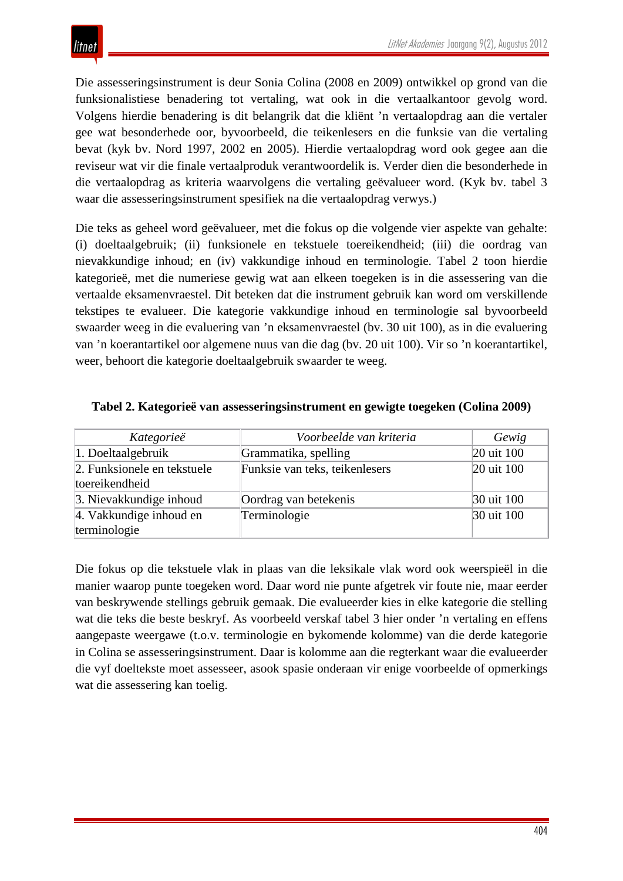Die assesseringsinstrument is deur Sonia Colina (2008 en 2009) ontwikkel op grond van die funksionalistiese benadering tot vertaling, wat ook in die vertaalkantoor gevolg word. Volgens hierdie benadering is dit belangrik dat die kliënt 'n vertaalopdrag aan die vertaler gee wat besonderhede oor, byvoorbeeld, die teikenlesers en die funksie van die vertaling bevat (kyk bv. Nord 1997, 2002 en 2005). Hierdie vertaalopdrag word ook gegee aan die reviseur wat vir die finale vertaalproduk verantwoordelik is. Verder dien die besonderhede in die vertaalopdrag as kriteria waarvolgens die vertaling geëvalueer word. (Kyk bv. tabel 3 waar die assesseringsinstrument spesifiek na die vertaalopdrag verwys.)

Die teks as geheel word geëvalueer, met die fokus op die volgende vier aspekte van gehalte: (i) doeltaalgebruik; (ii) funksionele en tekstuele toereikendheid; (iii) die oordrag van nievakkundige inhoud; en (iv) vakkundige inhoud en terminologie. Tabel 2 toon hierdie kategorieë, met die numeriese gewig wat aan elkeen toegeken is in die assessering van die vertaalde eksamenvraestel. Dit beteken dat die instrument gebruik kan word om verskillende tekstipes te evalueer. Die kategorie vakkundige inhoud en terminologie sal byvoorbeeld swaarder weeg in die evaluering van 'n eksamenvraestel (bv. 30 uit 100), as in die evaluering van 'n koerantartikel oor algemene nuus van die dag (bv. 20 uit 100). Vir so 'n koerantartikel, weer, behoort die kategorie doeltaalgebruik swaarder te weeg.

| Kategorieë                                    | Voorbeelde van kriteria        | Gewig      |
|-----------------------------------------------|--------------------------------|------------|
| 1. Doeltaalgebruik                            | Grammatika, spelling           | 20 uit 100 |
| 2. Funksionele en tekstuele<br>toereikendheid | Funksie van teks, teikenlesers | 20 uit 100 |
| 3. Nievakkundige inhoud                       | Oordrag van betekenis          | 30 uit 100 |
| 4. Vakkundige inhoud en<br>terminologie       | Terminologie                   | 30 uit 100 |

#### **Tabel 2. Kategorieë van assesseringsinstrument en gewigte toegeken (Colina 2009)**

Die fokus op die tekstuele vlak in plaas van die leksikale vlak word ook weerspieël in die manier waarop punte toegeken word. Daar word nie punte afgetrek vir foute nie, maar eerder van beskrywende stellings gebruik gemaak. Die evalueerder kies in elke kategorie die stelling wat die teks die beste beskryf. As voorbeeld verskaf tabel 3 hier onder 'n vertaling en effens aangepaste weergawe (t.o.v. terminologie en bykomende kolomme) van die derde kategorie in Colina se assesseringsinstrument. Daar is kolomme aan die regterkant waar die evalueerder die vyf doeltekste moet assesseer, asook spasie onderaan vir enige voorbeelde of opmerkings wat die assessering kan toelig.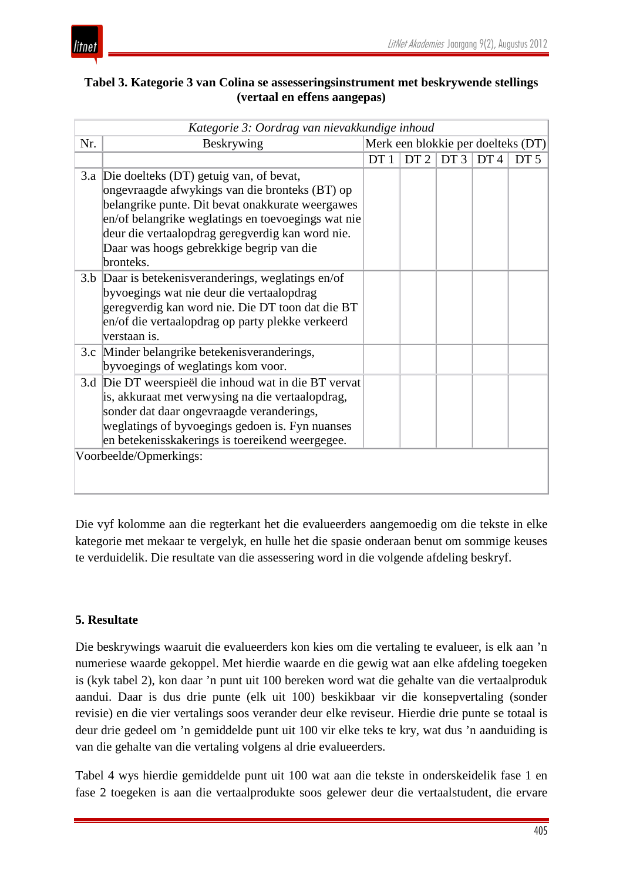| Tabel 3. Kategorie 3 van Colina se assesseringsinstrument met beskrywende stellings |
|-------------------------------------------------------------------------------------|
| (vertaal en effens aangepas)                                                        |

| Kategorie 3: Oordrag van nievakkundige inhoud |                                                                                                                                                                                                                                                                                                                      |                                    |                 |                 |     |                 |  |
|-----------------------------------------------|----------------------------------------------------------------------------------------------------------------------------------------------------------------------------------------------------------------------------------------------------------------------------------------------------------------------|------------------------------------|-----------------|-----------------|-----|-----------------|--|
| Nr.                                           | Beskrywing                                                                                                                                                                                                                                                                                                           | Merk een blokkie per doelteks (DT) |                 |                 |     |                 |  |
|                                               |                                                                                                                                                                                                                                                                                                                      | DT1                                | DT <sub>2</sub> | DT <sub>3</sub> | DT4 | DT <sub>5</sub> |  |
|                                               | 3.a Die doelteks (DT) getuig van, of bevat,<br>ongevraagde afwykings van die bronteks (BT) op<br>belangrike punte. Dit bevat onakkurate weergawes<br>en/of belangrike weglatings en toevoegings wat nie<br>deur die vertaalopdrag geregverdig kan word nie.<br>Daar was hoogs gebrekkige begrip van die<br>bronteks. |                                    |                 |                 |     |                 |  |
|                                               | 3.b Daar is betekenisveranderings, weglatings en/of<br>byvoegings wat nie deur die vertaalopdrag<br>geregverdig kan word nie. Die DT toon dat die BT<br>en/of die vertaalopdrag op party plekke verkeerd<br>verstaan is.                                                                                             |                                    |                 |                 |     |                 |  |
|                                               | 3.c Minder belangrike betekenisveranderings,<br>byvoegings of weglatings kom voor.                                                                                                                                                                                                                                   |                                    |                 |                 |     |                 |  |
| 3.d                                           | Die DT weerspieël die inhoud wat in die BT vervat<br>is, akkuraat met verwysing na die vertaalopdrag,<br>sonder dat daar ongevraagde veranderings,<br>weglatings of byvoegings gedoen is. Fyn nuanses<br>en betekenisskakerings is toereikend weergegee.<br>Voorbeelde/Opmerkings:                                   |                                    |                 |                 |     |                 |  |
|                                               |                                                                                                                                                                                                                                                                                                                      |                                    |                 |                 |     |                 |  |

Die vyf kolomme aan die regterkant het die evalueerders aangemoedig om die tekste in elke kategorie met mekaar te vergelyk, en hulle het die spasie onderaan benut om sommige keuses te verduidelik. Die resultate van die assessering word in die volgende afdeling beskryf.

### **5. Resultate**

Die beskrywings waaruit die evalueerders kon kies om die vertaling te evalueer, is elk aan 'n numeriese waarde gekoppel. Met hierdie waarde en die gewig wat aan elke afdeling toegeken is (kyk tabel 2), kon daar 'n punt uit 100 bereken word wat die gehalte van die vertaalproduk aandui. Daar is dus drie punte (elk uit 100) beskikbaar vir die konsepvertaling (sonder revisie) en die vier vertalings soos verander deur elke reviseur. Hierdie drie punte se totaal is deur drie gedeel om 'n gemiddelde punt uit 100 vir elke teks te kry, wat dus 'n aanduiding is van die gehalte van die vertaling volgens al drie evalueerders.

Tabel 4 wys hierdie gemiddelde punt uit 100 wat aan die tekste in onderskeidelik fase 1 en fase 2 toegeken is aan die vertaalprodukte soos gelewer deur die vertaalstudent, die ervare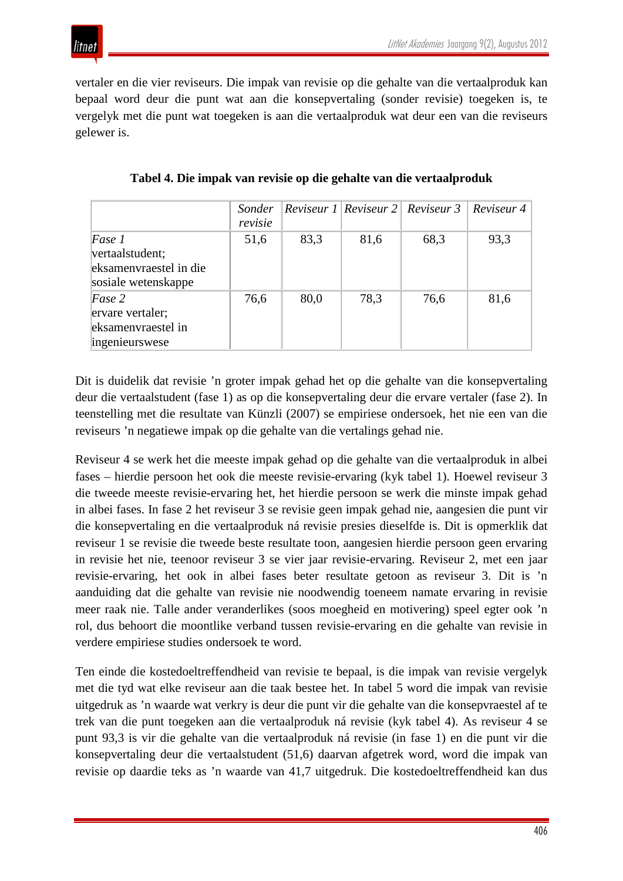

vertaler en die vier reviseurs. Die impak van revisie op die gehalte van die vertaalproduk kan bepaal word deur die punt wat aan die konsepvertaling (sonder revisie) toegeken is, te vergelyk met die punt wat toegeken is aan die vertaalproduk wat deur een van die reviseurs gelewer is.

|                        | Sonder  |      |      | $ Review 1 Review 2  Review 3  Review 4$ |      |
|------------------------|---------|------|------|------------------------------------------|------|
|                        | revisie |      |      |                                          |      |
| Fase 1                 | 51,6    | 83,3 | 81,6 | 68,3                                     | 93,3 |
| vertaalstudent;        |         |      |      |                                          |      |
| eksamenvraestel in die |         |      |      |                                          |      |
| sosiale wetenskappe    |         |      |      |                                          |      |
| Fase 2                 | 76,6    | 80,0 | 78,3 | 76,6                                     | 81,6 |
| ervare vertaler;       |         |      |      |                                          |      |
| eksamenvraestel in     |         |      |      |                                          |      |
| ingenieurswese         |         |      |      |                                          |      |

**Tabel 4. Die impak van revisie op die gehalte van die vertaalproduk**

Dit is duidelik dat revisie 'n groter impak gehad het op die gehalte van die konsepvertaling deur die vertaalstudent (fase 1) as op die konsepvertaling deur die ervare vertaler (fase 2). In teenstelling met die resultate van Künzli (2007) se empiriese ondersoek, het nie een van die reviseurs 'n negatiewe impak op die gehalte van die vertalings gehad nie.

Reviseur 4 se werk het die meeste impak gehad op die gehalte van die vertaalproduk in albei fases – hierdie persoon het ook die meeste revisie-ervaring (kyk tabel 1). Hoewel reviseur 3 die tweede meeste revisie-ervaring het, het hierdie persoon se werk die minste impak gehad in albei fases. In fase 2 het reviseur 3 se revisie geen impak gehad nie, aangesien die punt vir die konsepvertaling en die vertaalproduk ná revisie presies dieselfde is. Dit is opmerklik dat reviseur 1 se revisie die tweede beste resultate toon, aangesien hierdie persoon geen ervaring in revisie het nie, teenoor reviseur 3 se vier jaar revisie-ervaring. Reviseur 2, met een jaar revisie-ervaring, het ook in albei fases beter resultate getoon as reviseur 3. Dit is 'n aanduiding dat die gehalte van revisie nie noodwendig toeneem namate ervaring in revisie meer raak nie. Talle ander veranderlikes (soos moegheid en motivering) speel egter ook 'n rol, dus behoort die moontlike verband tussen revisie-ervaring en die gehalte van revisie in verdere empiriese studies ondersoek te word.

Ten einde die kostedoeltreffendheid van revisie te bepaal, is die impak van revisie vergelyk met die tyd wat elke reviseur aan die taak bestee het. In tabel 5 word die impak van revisie uitgedruk as 'n waarde wat verkry is deur die punt vir die gehalte van die konsepvraestel af te trek van die punt toegeken aan die vertaalproduk ná revisie (kyk tabel 4). As reviseur 4 se punt 93,3 is vir die gehalte van die vertaalproduk ná revisie (in fase 1) en die punt vir die konsepvertaling deur die vertaalstudent (51,6) daarvan afgetrek word, word die impak van revisie op daardie teks as 'n waarde van 41,7 uitgedruk. Die kostedoeltreffendheid kan dus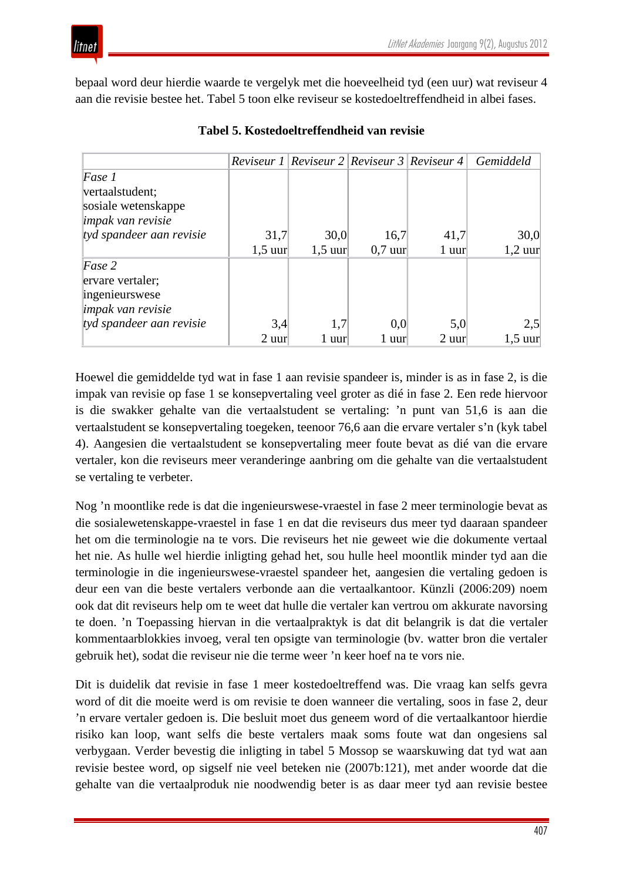

bepaal word deur hierdie waarde te vergelyk met die hoeveelheid tyd (een uur) wat reviseur 4 aan die revisie bestee het. Tabel 5 toon elke reviseur se kostedoeltreffendheid in albei fases.

|                                                                              |           |           |           | <i>Reviseur 1</i>   <i>Reviseur 2</i>   <i>Reviseur 3</i>   <i>Reviseur 4</i> | Gemiddeld |
|------------------------------------------------------------------------------|-----------|-----------|-----------|-------------------------------------------------------------------------------|-----------|
| Fase 1<br>vertaalstudent;<br>sosiale wetenskappe<br><i>impak van revisie</i> |           |           |           |                                                                               |           |
| tyd spandeer aan revisie                                                     | 31,7      | 30,0      | 16,7      | 41,7                                                                          | 30,0      |
|                                                                              | $1,5$ uur | $1,5$ uur | $0,7$ uur | 1 uur                                                                         | $1,2$ uur |
| Fase 2<br>ervare vertaler;<br>ingenieurswese<br><i>impak van revisie</i>     |           |           |           |                                                                               |           |
| tyd spandeer aan revisie                                                     | 3,4       | 1,7       | 0.0       | 5,0                                                                           | 2,5       |
|                                                                              | $2$ uur   | 1 uur     | 1 uur     | $2$ uur $\overline{ }$                                                        | $1,5$ uur |

#### **Tabel 5. Kostedoeltreffendheid van revisie**

Hoewel die gemiddelde tyd wat in fase 1 aan revisie spandeer is, minder is as in fase 2, is die impak van revisie op fase 1 se konsepvertaling veel groter as dié in fase 2. Een rede hiervoor is die swakker gehalte van die vertaalstudent se vertaling: 'n punt van 51,6 is aan die vertaalstudent se konsepvertaling toegeken, teenoor 76,6 aan die ervare vertaler s'n (kyk tabel 4). Aangesien die vertaalstudent se konsepvertaling meer foute bevat as dié van die ervare vertaler, kon die reviseurs meer veranderinge aanbring om die gehalte van die vertaalstudent se vertaling te verbeter.

Nog 'n moontlike rede is dat die ingenieurswese-vraestel in fase 2 meer terminologie bevat as die sosialewetenskappe-vraestel in fase 1 en dat die reviseurs dus meer tyd daaraan spandeer het om die terminologie na te vors. Die reviseurs het nie geweet wie die dokumente vertaal het nie. As hulle wel hierdie inligting gehad het, sou hulle heel moontlik minder tyd aan die terminologie in die ingenieurswese-vraestel spandeer het, aangesien die vertaling gedoen is deur een van die beste vertalers verbonde aan die vertaalkantoor. Künzli (2006:209) noem ook dat dit reviseurs help om te weet dat hulle die vertaler kan vertrou om akkurate navorsing te doen. 'n Toepassing hiervan in die vertaalpraktyk is dat dit belangrik is dat die vertaler kommentaarblokkies invoeg, veral ten opsigte van terminologie (bv. watter bron die vertaler gebruik het), sodat die reviseur nie die terme weer 'n keer hoef na te vors nie.

Dit is duidelik dat revisie in fase 1 meer kostedoeltreffend was. Die vraag kan selfs gevra word of dit die moeite werd is om revisie te doen wanneer die vertaling, soos in fase 2, deur 'n ervare vertaler gedoen is. Die besluit moet dus geneem word of die vertaalkantoor hierdie risiko kan loop, want selfs die beste vertalers maak soms foute wat dan ongesiens sal verbygaan. Verder bevestig die inligting in tabel 5 Mossop se waarskuwing dat tyd wat aan revisie bestee word, op sigself nie veel beteken nie (2007b:121), met ander woorde dat die gehalte van die vertaalproduk nie noodwendig beter is as daar meer tyd aan revisie bestee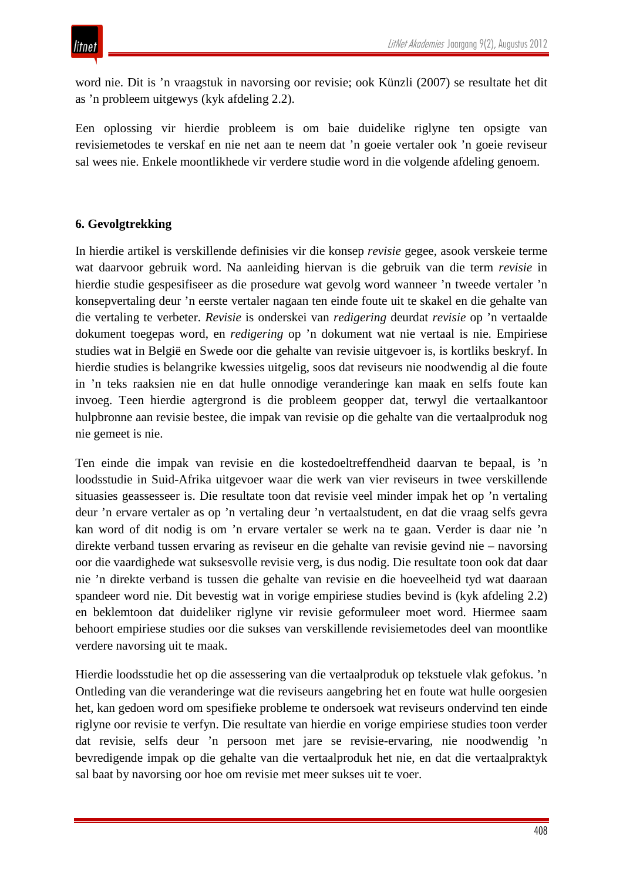word nie. Dit is 'n vraagstuk in navorsing oor revisie; ook Künzli (2007) se resultate het dit as 'n probleem uitgewys (kyk afdeling 2.2).

Een oplossing vir hierdie probleem is om baie duidelike riglyne ten opsigte van revisiemetodes te verskaf en nie net aan te neem dat 'n goeie vertaler ook 'n goeie reviseur sal wees nie. Enkele moontlikhede vir verdere studie word in die volgende afdeling genoem.

## **6. Gevolgtrekking**

In hierdie artikel is verskillende definisies vir die konsep *revisie* gegee, asook verskeie terme wat daarvoor gebruik word. Na aanleiding hiervan is die gebruik van die term *revisie* in hierdie studie gespesifiseer as die prosedure wat gevolg word wanneer 'n tweede vertaler 'n konsepvertaling deur 'n eerste vertaler nagaan ten einde foute uit te skakel en die gehalte van die vertaling te verbeter. *Revisie* is onderskei van *redigering* deurdat *revisie* op 'n vertaalde dokument toegepas word, en *redigering* op 'n dokument wat nie vertaal is nie. Empiriese studies wat in België en Swede oor die gehalte van revisie uitgevoer is, is kortliks beskryf. In hierdie studies is belangrike kwessies uitgelig, soos dat reviseurs nie noodwendig al die foute in 'n teks raaksien nie en dat hulle onnodige veranderinge kan maak en selfs foute kan invoeg. Teen hierdie agtergrond is die probleem geopper dat, terwyl die vertaalkantoor hulpbronne aan revisie bestee, die impak van revisie op die gehalte van die vertaalproduk nog nie gemeet is nie.

Ten einde die impak van revisie en die kostedoeltreffendheid daarvan te bepaal, is 'n loodsstudie in Suid-Afrika uitgevoer waar die werk van vier reviseurs in twee verskillende situasies geassesseer is. Die resultate toon dat revisie veel minder impak het op 'n vertaling deur 'n ervare vertaler as op 'n vertaling deur 'n vertaalstudent, en dat die vraag selfs gevra kan word of dit nodig is om 'n ervare vertaler se werk na te gaan. Verder is daar nie 'n direkte verband tussen ervaring as reviseur en die gehalte van revisie gevind nie – navorsing oor die vaardighede wat suksesvolle revisie verg, is dus nodig. Die resultate toon ook dat daar nie 'n direkte verband is tussen die gehalte van revisie en die hoeveelheid tyd wat daaraan spandeer word nie. Dit bevestig wat in vorige empiriese studies bevind is (kyk afdeling 2.2) en beklemtoon dat duideliker riglyne vir revisie geformuleer moet word. Hiermee saam behoort empiriese studies oor die sukses van verskillende revisiemetodes deel van moontlike verdere navorsing uit te maak.

Hierdie loodsstudie het op die assessering van die vertaalproduk op tekstuele vlak gefokus. 'n Ontleding van die veranderinge wat die reviseurs aangebring het en foute wat hulle oorgesien het, kan gedoen word om spesifieke probleme te ondersoek wat reviseurs ondervind ten einde riglyne oor revisie te verfyn. Die resultate van hierdie en vorige empiriese studies toon verder dat revisie, selfs deur 'n persoon met jare se revisie-ervaring, nie noodwendig 'n bevredigende impak op die gehalte van die vertaalproduk het nie, en dat die vertaalpraktyk sal baat by navorsing oor hoe om revisie met meer sukses uit te voer.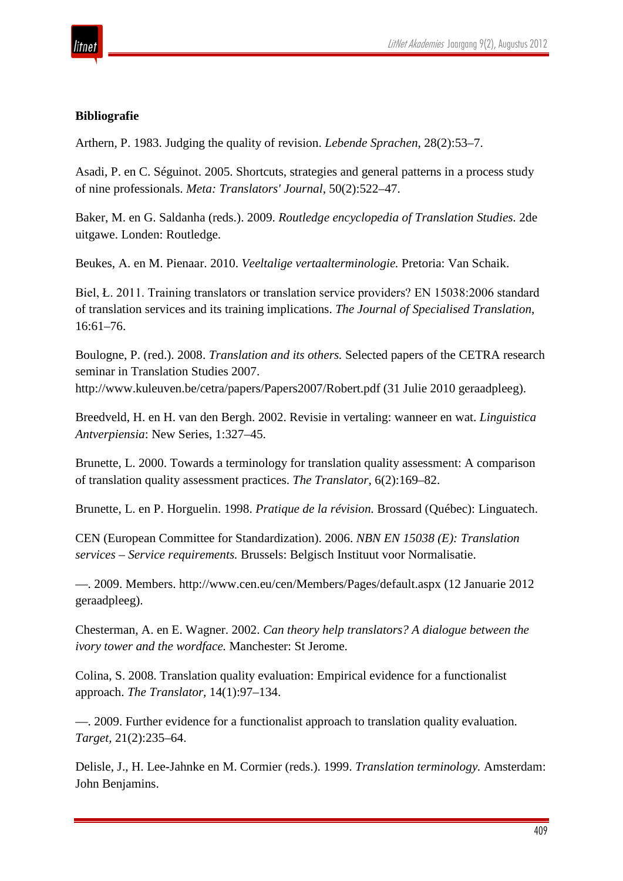

### **Bibliografie**

Arthern, P. 1983. Judging the quality of revision. *Lebende Sprachen*, 28(2):53–7.

Asadi, P. en C. Séguinot. 2005. Shortcuts, strategies and general patterns in a process study of nine professionals. *Meta: Translators' Journal*, 50(2):522–47.

Baker, M. en G. Saldanha (reds.). 2009. *Routledge encyclopedia of Translation Studies.* 2de uitgawe. Londen: Routledge.

Beukes, A. en M. Pienaar. 2010. *Veeltalige vertaalterminologie.* Pretoria: Van Schaik.

Biel, Ł. 2011. Training translators or translation service providers? EN 15038:2006 standard of translation services and its training implications. *The Journal of Specialised Translation*, 16:61–76.

Boulogne, P. (red.). 2008. *Translation and its others.* Selected papers of the CETRA research seminar in Translation Studies 2007. http://www.kuleuven.be/cetra/papers/Papers2007/Robert.pdf (31 Julie 2010 geraadpleeg).

Breedveld, H. en H. van den Bergh. 2002. Revisie in vertaling: wanneer en wat. *Linguistica Antverpiensia*: New Series, 1:327–45.

Brunette, L. 2000. Towards a terminology for translation quality assessment: A comparison of translation quality assessment practices. *The Translator*, 6(2):169–82.

Brunette, L. en P. Horguelin. 1998. *Pratique de la révision.* Brossard (Québec): Linguatech.

CEN (European Committee for Standardization). 2006. *NBN EN 15038 (E): Translation services – Service requirements.* Brussels: Belgisch Instituut voor Normalisatie.

—. 2009. Members. http://www.cen.eu/cen/Members/Pages/default.aspx (12 Januarie 2012 geraadpleeg).

Chesterman, A. en E. Wagner. 2002. *Can theory help translators? A dialogue between the ivory tower and the wordface.* Manchester: St Jerome.

Colina, S. 2008. Translation quality evaluation: Empirical evidence for a functionalist approach. *The Translator,* 14(1):97–134.

—. 2009. Further evidence for a functionalist approach to translation quality evaluation. *Target,* 21(2):235–64.

Delisle, J., H. Lee-Jahnke en M. Cormier (reds.). 1999. *Translation terminology.* Amsterdam: John Benjamins.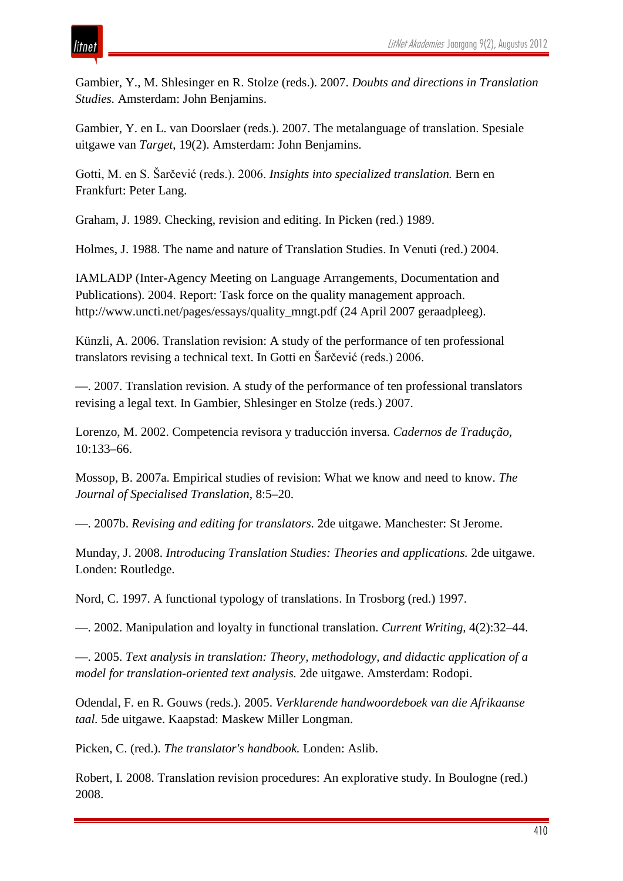## itnet

Gambier, Y., M. Shlesinger en R. Stolze (reds.). 2007. *Doubts and directions in Translation Studies.* Amsterdam: John Benjamins.

Gambier, Y. en L. van Doorslaer (reds.). 2007. The metalanguage of translation. Spesiale uitgawe van *Target*, 19(2). Amsterdam: John Benjamins.

Gotti, M. en S. Šarčević (reds.). 2006. *Insights into specialized translation.* Bern en Frankfurt: Peter Lang.

Graham, J. 1989. Checking, revision and editing. In Picken (red.) 1989.

Holmes, J. 1988. The name and nature of Translation Studies. In Venuti (red.) 2004.

IAMLADP (Inter-Agency Meeting on Language Arrangements, Documentation and Publications). 2004. Report: Task force on the quality management approach. http://www.uncti.net/pages/essays/quality\_mngt.pdf (24 April 2007 geraadpleeg).

Künzli, A. 2006. Translation revision: A study of the performance of ten professional translators revising a technical text. In Gotti en Šarčević (reds.) 2006.

—. 2007. Translation revision. A study of the performance of ten professional translators revising a legal text. In Gambier, Shlesinger en Stolze (reds.) 2007.

Lorenzo, M. 2002. Competencia revisora y traducción inversa. *Cadernos de Tradução*, 10:133–66.

Mossop, B. 2007a. Empirical studies of revision: What we know and need to know. *The Journal of Specialised Translation*, 8:5–20.

—. 2007b. *Revising and editing for translators.* 2de uitgawe. Manchester: St Jerome.

Munday, J. 2008. *Introducing Translation Studies: Theories and applications.* 2de uitgawe. Londen: Routledge.

Nord, C. 1997. A functional typology of translations. In Trosborg (red.) 1997.

—. 2002. Manipulation and loyalty in functional translation. *Current Writing,* 4(2):32–44.

—. 2005. *Text analysis in translation: Theory, methodology, and didactic application of a model for translation-oriented text analysis.* 2de uitgawe. Amsterdam: Rodopi.

Odendal, F. en R. Gouws (reds.). 2005. *Verklarende handwoordeboek van die Afrikaanse taal.* 5de uitgawe. Kaapstad: Maskew Miller Longman.

Picken, C. (red.). *The translator's handbook.* Londen: Aslib.

Robert, I. 2008. Translation revision procedures: An explorative study. In Boulogne (red.) 2008.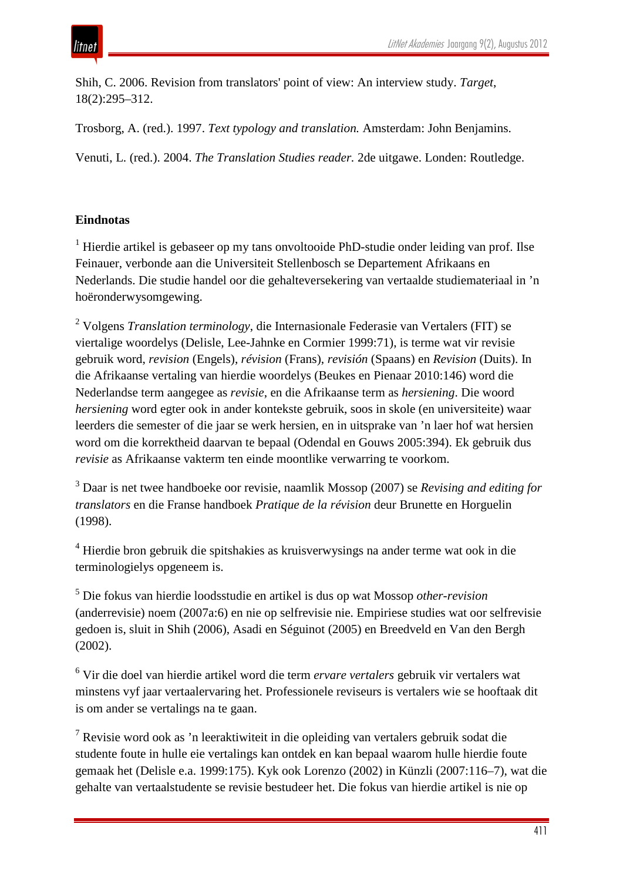Shih, C. 2006. Revision from translators' point of view: An interview study. *Target*, 18(2):295–312.

Trosborg, A. (red.). 1997. *Text typology and translation.* Amsterdam: John Benjamins.

Venuti, L. (red.). 2004. *The Translation Studies reader.* 2de uitgawe. Londen: Routledge.

## **Eindnotas**

 $<sup>1</sup>$  Hierdie artikel is gebaseer op my tans onvoltooide PhD-studie onder leiding van prof. Ilse</sup> Feinauer, verbonde aan die Universiteit Stellenbosch se Departement Afrikaans en Nederlands. Die studie handel oor die gehalteversekering van vertaalde studiemateriaal in 'n hoëronderwysomgewing.

<sup>2</sup> Volgens *Translation terminology*, die Internasionale Federasie van Vertalers (FIT) se viertalige woordelys (Delisle, Lee-Jahnke en Cormier 1999:71), is terme wat vir revisie gebruik word, *revision* (Engels), *révision* (Frans), *revisión* (Spaans) en *Revision* (Duits). In die Afrikaanse vertaling van hierdie woordelys (Beukes en Pienaar 2010:146) word die Nederlandse term aangegee as *revisie*, en die Afrikaanse term as *hersiening*. Die woord *hersiening* word egter ook in ander kontekste gebruik, soos in skole (en universiteite) waar leerders die semester of die jaar se werk hersien, en in uitsprake van 'n laer hof wat hersien word om die korrektheid daarvan te bepaal (Odendal en Gouws 2005:394). Ek gebruik dus *revisie* as Afrikaanse vakterm ten einde moontlike verwarring te voorkom.

<sup>3</sup> Daar is net twee handboeke oor revisie, naamlik Mossop (2007) se *Revising and editing for translators* en die Franse handboek *Pratique de la révision* deur Brunette en Horguelin (1998).

<sup>4</sup> Hierdie bron gebruik die spitshakies as kruisverwysings na ander terme wat ook in die terminologielys opgeneem is.

<sup>5</sup> Die fokus van hierdie loodsstudie en artikel is dus op wat Mossop *other-revision* (anderrevisie) noem (2007a:6) en nie op selfrevisie nie. Empiriese studies wat oor selfrevisie gedoen is, sluit in Shih (2006), Asadi en Séguinot (2005) en Breedveld en Van den Bergh (2002).

<sup>6</sup> Vir die doel van hierdie artikel word die term *ervare vertalers* gebruik vir vertalers wat minstens vyf jaar vertaalervaring het. Professionele reviseurs is vertalers wie se hooftaak dit is om ander se vertalings na te gaan.

<sup>7</sup> Revisie word ook as 'n leeraktiwiteit in die opleiding van vertalers gebruik sodat die studente foute in hulle eie vertalings kan ontdek en kan bepaal waarom hulle hierdie foute gemaak het (Delisle e.a. 1999:175). Kyk ook Lorenzo (2002) in Künzli (2007:116–7), wat die gehalte van vertaalstudente se revisie bestudeer het. Die fokus van hierdie artikel is nie op